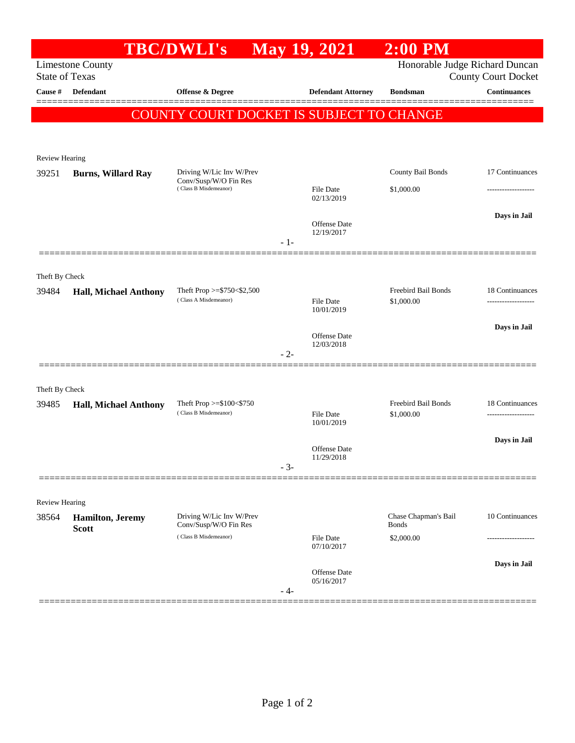|                                                                                                                  |                              | <b>TBC/DWLI's</b>                                                          | <b>May 19, 2021</b> |                                   | $2:00$ PM                  |                     |  |  |  |
|------------------------------------------------------------------------------------------------------------------|------------------------------|----------------------------------------------------------------------------|---------------------|-----------------------------------|----------------------------|---------------------|--|--|--|
| Honorable Judge Richard Duncan<br><b>Limestone County</b><br><b>State of Texas</b><br><b>County Court Docket</b> |                              |                                                                            |                     |                                   |                            |                     |  |  |  |
| Cause #                                                                                                          | Defendant                    | Offense & Degree                                                           |                     | <b>Defendant Attorney</b>         | <b>Bondsman</b>            | <b>Continuances</b> |  |  |  |
|                                                                                                                  |                              |                                                                            |                     |                                   |                            |                     |  |  |  |
|                                                                                                                  |                              | COUNTY COURT DOCKET IS SUBJECT TO CHANGE                                   |                     |                                   |                            |                     |  |  |  |
|                                                                                                                  |                              |                                                                            |                     |                                   |                            |                     |  |  |  |
| Review Hearing                                                                                                   |                              |                                                                            |                     |                                   |                            |                     |  |  |  |
| 39251                                                                                                            | <b>Burns, Willard Ray</b>    | Driving W/Lic Inv W/Prev<br>Conv/Susp/W/O Fin Res<br>(Class B Misdemeanor) |                     |                                   | County Bail Bonds          | 17 Continuances     |  |  |  |
|                                                                                                                  |                              |                                                                            |                     | File Date<br>02/13/2019           | \$1,000.00                 | ------------------  |  |  |  |
|                                                                                                                  |                              |                                                                            |                     |                                   |                            | Days in Jail        |  |  |  |
|                                                                                                                  |                              |                                                                            |                     | <b>Offense Date</b><br>12/19/2017 |                            |                     |  |  |  |
|                                                                                                                  |                              |                                                                            | $-1-$               |                                   |                            |                     |  |  |  |
|                                                                                                                  |                              |                                                                            |                     |                                   |                            |                     |  |  |  |
| Theft By Check<br>39484                                                                                          | <b>Hall, Michael Anthony</b> | Theft Prop >= $$750<$2,500$<br>(Class A Misdemeanor)                       |                     |                                   | <b>Freebird Bail Bonds</b> | 18 Continuances     |  |  |  |
|                                                                                                                  |                              |                                                                            |                     | File Date<br>10/01/2019           | \$1,000.00                 |                     |  |  |  |
|                                                                                                                  |                              |                                                                            |                     |                                   |                            | Days in Jail        |  |  |  |
|                                                                                                                  |                              |                                                                            |                     | Offense Date<br>12/03/2018        |                            |                     |  |  |  |
|                                                                                                                  |                              |                                                                            | $-2-$               |                                   |                            |                     |  |  |  |
|                                                                                                                  |                              |                                                                            |                     |                                   |                            |                     |  |  |  |
| Theft By Check<br>39485                                                                                          | <b>Hall, Michael Anthony</b> | Theft Prop $>= $100 < $750$                                                |                     |                                   | <b>Freebird Bail Bonds</b> | 18 Continuances     |  |  |  |
|                                                                                                                  |                              | (Class B Misdemeanor)                                                      |                     | File Date<br>10/01/2019           | \$1,000.00                 | ------------------- |  |  |  |
|                                                                                                                  |                              |                                                                            |                     |                                   |                            | Days in Jail        |  |  |  |
|                                                                                                                  |                              |                                                                            |                     | Offense Date<br>11/29/2018        |                            |                     |  |  |  |
|                                                                                                                  |                              |                                                                            | $-3-$               |                                   |                            |                     |  |  |  |
|                                                                                                                  |                              |                                                                            |                     |                                   |                            |                     |  |  |  |
| <b>Review Hearing</b><br>38564                                                                                   | <b>Hamilton</b> , Jeremy     | Driving W/Lic Inv W/Prev                                                   |                     |                                   | Chase Chapman's Bail       | 10 Continuances     |  |  |  |
|                                                                                                                  | <b>Scott</b>                 | Conv/Susp/W/O Fin Res<br>(Class B Misdemeanor)                             |                     | <b>File Date</b>                  | <b>Bonds</b><br>\$2,000.00 |                     |  |  |  |
|                                                                                                                  |                              |                                                                            |                     | 07/10/2017                        |                            |                     |  |  |  |
|                                                                                                                  |                              |                                                                            |                     | Offense Date                      |                            | Days in Jail        |  |  |  |
|                                                                                                                  |                              |                                                                            | - 4-                | 05/16/2017                        |                            |                     |  |  |  |
|                                                                                                                  |                              |                                                                            |                     |                                   |                            |                     |  |  |  |